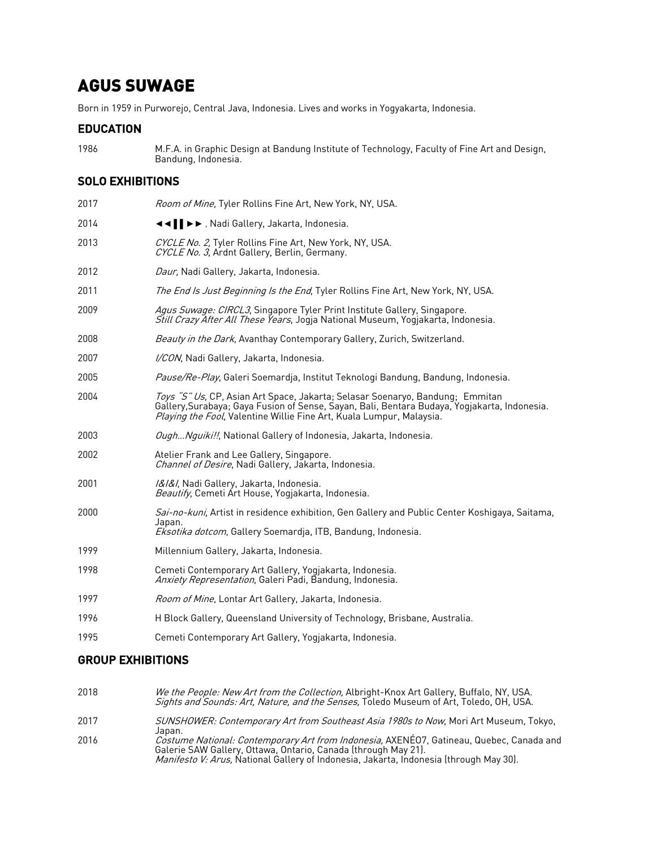# AGUS SUWAGE

Born in 1959 in Purworejo, Central Java, Indonesia. Lives and works in Yogyakarta, Indonesia.

#### EDUCATION

1986 M.F.A. in Graphic Design at Bandung Institute of Technology, Faculty of Fine Art and Design, Bandung, Indonesia.

## SOLO EXHIBITIONS

| 2017 | Room of Mine, Tyler Rollins Fine Art, New York, NY, USA.                                                                                                                                                                                              |
|------|-------------------------------------------------------------------------------------------------------------------------------------------------------------------------------------------------------------------------------------------------------|
| 2014 | ◀◀     ▶▶, Nadi Gallery, Jakarta, Indonesia.                                                                                                                                                                                                          |
| 2013 | CYCLE No. 2, Tyler Rollins Fine Art, New York, NY, USA.<br>CYCLE No. 3. Ardnt Gallery, Berlin, Germany.                                                                                                                                               |
| 2012 | Daur, Nadi Gallery, Jakarta, Indonesia.                                                                                                                                                                                                               |
| 2011 | <i>The End Is Just Beginning Is the End</i> , Tyler Rollins Fine Art, New York, NY, USA.                                                                                                                                                              |
| 2009 | Agus Suwage: CIRCL3, Singapore Tyler Print Institute Gallery, Singapore.<br><i>Still Crazy After All These Years</i> , Jogja National Museum, Yogjakarta, Indonesia.                                                                                  |
| 2008 | Beauty in the Dark, Avanthay Contemporary Gallery, Zurich, Switzerland.                                                                                                                                                                               |
| 2007 | I/CON, Nadi Gallery, Jakarta, Indonesia.                                                                                                                                                                                                              |
| 2005 | Pause/Re-Play, Galeri Soemardja, Institut Teknologi Bandung, Bandung, Indonesia.                                                                                                                                                                      |
| 2004 | Toys "S" Us, CP, Asian Art Space, Jakarta; Selasar Soenaryo, Bandung; Emmitan<br>Gallery, Surabaya; Gaya Fusion of Sense, Sayan, Bali, Bentara Budaya, Yogjakarta, Indonesia.<br>Playing the Fool, Valentine Willie Fine Art, Kuala Lumpur, Malaysia. |
| 2003 | Ough Nguiki!!, National Gallery of Indonesia, Jakarta, Indonesia.                                                                                                                                                                                     |
| 2002 | Atelier Frank and Lee Gallery, Singapore.<br>Channel of Desire, Nadi Gallery, Jakarta, Indonesia.                                                                                                                                                     |
| 2001 | I&I&I, Nadi Gallery, Jakarta, Indonesia.<br>Beautify, Cemeti Art House, Yogjakarta, Indonesia.                                                                                                                                                        |
| 2000 | Sai-no-kuni, Artist in residence exhibition, Gen Gallery and Public Center Koshigaya, Saitama,<br>Japan.<br>Eksotika dotcom, Gallery Soemardja, ITB, Bandung, Indonesia.                                                                              |
| 1999 | Millennium Gallery, Jakarta, Indonesia.                                                                                                                                                                                                               |
| 1998 | Cemeti Contemporary Art Gallery, Yogjakarta, Indonesia.<br>Anxiety Representation, Galeri Padi, Bandung, Indonesia.                                                                                                                                   |
| 1997 | Room of Mine, Lontar Art Gallery, Jakarta, Indonesia.                                                                                                                                                                                                 |
| 1996 | H Block Gallery, Queensland University of Technology, Brisbane, Australia.                                                                                                                                                                            |
| 1995 | Cemeti Contemporary Art Gallery, Yogjakarta, Indonesia.                                                                                                                                                                                               |
|      |                                                                                                                                                                                                                                                       |

## GROUP EXHIBITIONS

- 2018 *We the People: New Art from the Collection,* Albright-Knox Art Gallery, Buffalo, NY, USA. Sights and Sounds: Art, Nature, and the Senses, Toledo Museum of Art, Toledo, OH, USA.
- 2017 SUNSHOWER: Contemporary Art from Southeast Asia 1980s to Now, Mori Art Museum, Tokyo, Japan.
- 2016 *Costume National: Contemporary Art from Indonesia,* AXENÉO7, Gatineau, Quebec, Canada and Galerie SAW Gallery, Ottawa, Ontario, Canada (through May 21). *Manifesto V: Arus,* National Gallery of Indonesia, Jakārta, Indonesia (through May 30).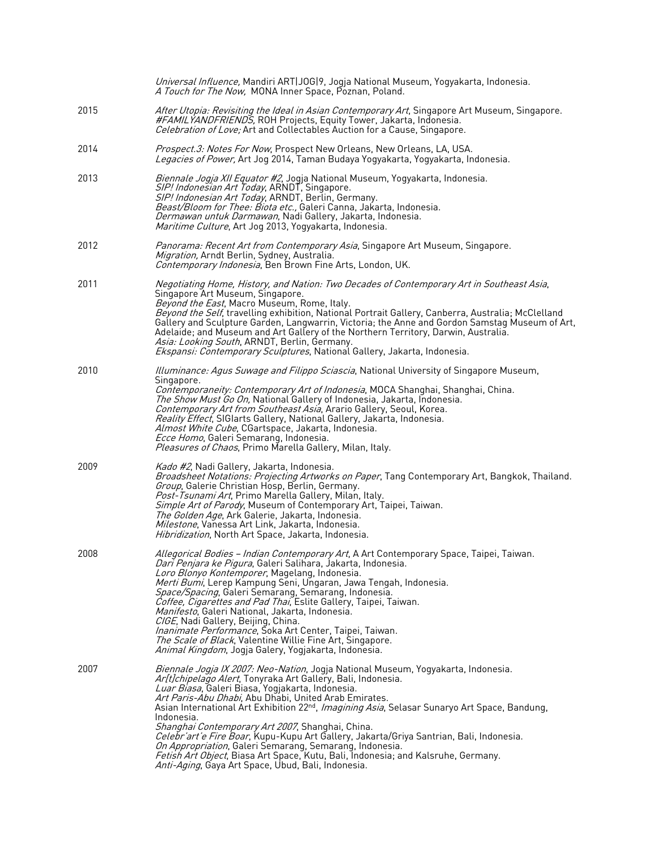|      | Universal Influence, Mandiri ART JOG 9, Jogja National Museum, Yogyakarta, Indonesia.<br>A Touch for The Now, MONA Inner Space, Poznan, Poland.                                                                                                                                                                                                                                                                                                                                                                                                                                                                                                                                                                                                                        |
|------|------------------------------------------------------------------------------------------------------------------------------------------------------------------------------------------------------------------------------------------------------------------------------------------------------------------------------------------------------------------------------------------------------------------------------------------------------------------------------------------------------------------------------------------------------------------------------------------------------------------------------------------------------------------------------------------------------------------------------------------------------------------------|
| 2015 | After Utopia: Revisiting the Ideal in Asian Contemporary Art, Singapore Art Museum, Singapore.<br>#FAMILYANDFRIENDS, ROH Projects, Equity Tower, Jakarta, Indonesia.<br>Celebration of Love; Art and Collectables Auction for a Cause, Singapore.                                                                                                                                                                                                                                                                                                                                                                                                                                                                                                                      |
| 2014 | Prospect.3: Notes For Now, Prospect New Orleans, New Orleans, LA, USA.<br>Legacies of Power, Art Jog 2014, Taman Budaya Yogyakarta, Yogyakarta, Indonesia.                                                                                                                                                                                                                                                                                                                                                                                                                                                                                                                                                                                                             |
| 2013 | Biennale Jogja XII Equator #2, Jogja National Museum, Yogyakarta, Indonesia.<br>SIP! Indonesian Art Today, ARNDT, Singapore.<br>SIP! Indonesian Art Today, ARNDT, Berlin, Germany.<br>Beast/Bloom for Thee: Biota etc., Galeri Canna, Jakarta, Indonesia.<br>Dermawan untuk Darmawan, Nadi Gallery, Jakarta, Indonesia.<br>Maritime Culture, Art Jog 2013, Yogyakarta, Indonesia.                                                                                                                                                                                                                                                                                                                                                                                      |
| 2012 | <i>Panorama: Recent Art from Contemporary Asia</i> , Singapore Art Museum, Singapore.<br>Migration, Arndt Berlin, Sydney, Australia.<br>Contemporary Indonesia, Ben Brown Fine Arts, London, UK.                                                                                                                                                                                                                                                                                                                                                                                                                                                                                                                                                                       |
| 2011 | Negotiating Home, History, and Nation: Two Decades of Contemporary Art in Southeast Asia,<br>Singapore Art Museum, Singapore.<br>Beyond the East, Macro Museum, Rome, Italy.<br>Beyond the Self, travelling exhibition, National Portrait Gallery, Canberra, Australia; McClelland<br>Gallery and Sculpture Garden, Langwarrin, Victoria; the Anne and Gordon Samstag Museum of Art,<br>Adelaide; and Museum and Art Gallery of the Northern Territory, Darwin, Australia.<br>Asia: Looking South, ARNDT, Berlin, Germany.<br>Ekspansi: Contemporary Sculptures, National Gallery, Jakarta, Indonesia.                                                                                                                                                                 |
| 2010 | Illuminance: Agus Suwage and Filippo Sciascia, National University of Singapore Museum,<br>Singapore.<br><i>Contemporaneity: Contemporary Art of Indonesia</i> , MOCA Shanghai, Shanghai, China.<br><i>The Show Must Go On,</i> National Gallery of Indonesia, Jakarta, Indonesia.<br>Contemporary Art from Southeast Asia, Arario Gallery, Seoul, Korea.<br><i>Reality Effect</i> , SIGIarts Gallery, National Gallery, Jakarta, Indonesia.<br>Almost White Cube, CGartspace, Jakarta, Indonesia.<br><i>Ecce Homo</i> , Galeri Semarang, Indonesia.<br><i>Pleasures of Chaos</i> , Primo Marella Gallery, Milan, Italy.                                                                                                                                               |
| 2009 | Kado #2, Nadi Gallery, Jakarta, Indonesia.<br>Broadsheet Notations: Projecting Artworks on Paper, Tang Contemporary Art, Bangkok, Thailand.<br>Group, Galerie Christian Hosp, Berlin, Germany.<br>Post-Tsunami Art, Primo Marella Gallery, Milan, Italy.<br>Simple Art of Parody, Museum of Contemporary Art, Taipei, Taiwan.<br><i>The Golden Age</i> , Ark Galerie, Jakarta, Indonesia.<br>Milestone, Vanessa Art Link, Jakarta, Indonesia.<br>Hibridization, North Art Space, Jakarta, Indonesia.                                                                                                                                                                                                                                                                   |
| 2008 | Allegorical Bodies – Indian Contemporary Art, A Art Contemporary Space, Taipei, Taiwan.<br><i>Dari Penjara ke Pigura</i> , Galeri Salihara, Jakarta, Indonesia.<br>Loro Blonyo Kontemporer, Magelang, Indonesia.<br>Merti Bumi, Lerep Kampung Seni, Ungaran, Jawa Tengah, Indonesia.<br>Space/Spacing, Galeri Semarang, Semarang, Indonesia.<br>Coffee, Cigarettes and Pad Thai, Eslite Gallery, Taipei, Taiwan.<br><i>Manifesto</i> , Galeri National, Jakarta, Indonesia.<br>CIGE, Nadi Gallery, Beijing, China.<br><i>Inanimate Performance</i> , Soka Art Center, Taipei, Taiwan.<br>The Scale of Black, Valentine Willie Fine Art, Singapore.<br><i>Animal Kingdom</i> , Jogja Galery, Yogjakarta, Indonesia.                                                     |
| 2007 | <i>Biennale Jogja IX 2007: Neo-Nation</i> , Jogja National Museum, Yogyakarta, Indonesia.<br>Ar[t]chipelago Alert, Tonyraka Art Gallery, Bali, Indonesia.<br>Luar Biasa, Galeri Biasa, Yogjakarta, Indonesia.<br>Art Paris-Abu Dhabi, Abu Dhabi, United Arab Emirates.<br>Asian International Art Exhibition 22 <sup>nd</sup> , <i>Imagining Asia</i> , Selasar Sunaryo Art Space, Bandung,<br>Indonesia.<br>Shanghai Contemporary Art 2007, Shanghai, China.<br><i>Celebr'art'e Fire Boar</i> , Kupu-Kupu Art Gallery, Jakarta/Griya Santrian, Bali, Indonesia.<br>On Appropriation, Galeri Semarang, Semarang, Indonesia.<br>Fetish Art Object, Biasa Art Space, Kutu, Bali, Indonesia; and Kalsruhe, Germany.<br>Anti-Aging, Gaya Art Space, Ubud, Bali, Indonesia. |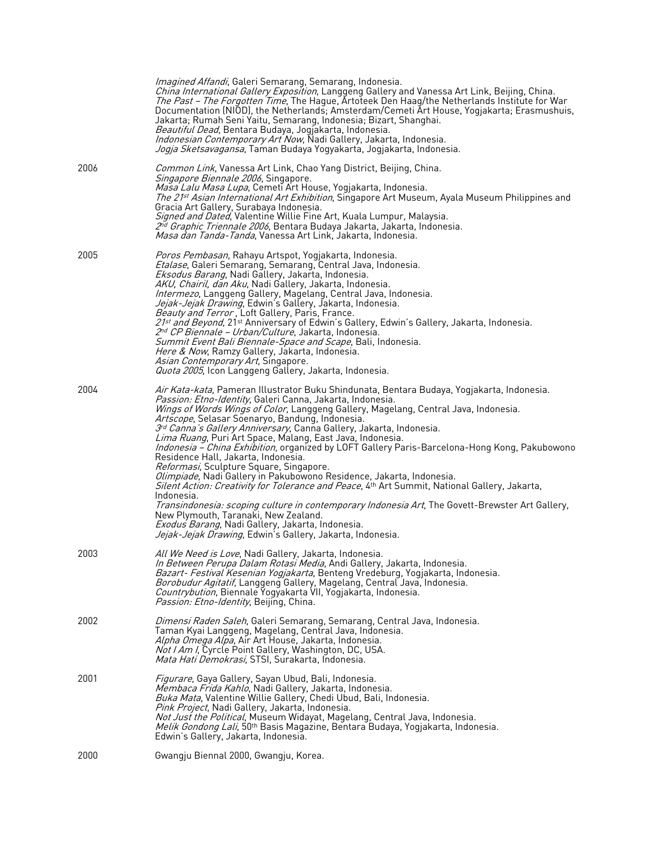|      | Imagined Affandi, Galeri Semarang, Semarang, Indonesia.<br>China International Gallery Exposition, Langgeng Gallery and Vanessa Art Link, Beijing, China.<br><i>The Past – The Forgotten Time</i> , The Hague, Artoteek Den Haag/the Netherlands Institute for War<br>Documentation (NIOD), the Netherlands; Amsterdam/Cemeti Art House, Yogjakarta; Erasmushuis,<br>Jakarta; Rumah Seni Yaitu, Semarang, Indonesia; Bizart, Shanghai.<br>Beautiful Dead, Bentara Budaya, Jogjakarta, Indonesia.<br>Indonesian Contemporary Art Now, Nadi Gallery, Jakarta, Indonesia.<br>Jogja Sketsavagansa, Taman Budaya Yogyakarta, Jogjakarta, Indonesia.                                                                                                                                                                                                                                                                                                                                                                                                                                                                                             |
|------|--------------------------------------------------------------------------------------------------------------------------------------------------------------------------------------------------------------------------------------------------------------------------------------------------------------------------------------------------------------------------------------------------------------------------------------------------------------------------------------------------------------------------------------------------------------------------------------------------------------------------------------------------------------------------------------------------------------------------------------------------------------------------------------------------------------------------------------------------------------------------------------------------------------------------------------------------------------------------------------------------------------------------------------------------------------------------------------------------------------------------------------------|
| 2006 | <i>Common Link</i> , Vanessa Art Link, Chao Yang District, Beijing, China.<br><i>Singapore Biennale 2006</i> , Singapore.<br><i>Masa Lalu Masa Lupa</i> , Cemeti Art House, Yogjakarta, Indonesia.<br><i>The 21st Asian International Art Exhibition</i> , Singapore Art Museum, Ayala Museum Philippines and<br>Gracia Art Gallery, Surabaya Indonesia.<br>Signed and Dated, Valentine Willie Fine Art, Kuala Lumpur, Malaysia.<br>2 <sup>nd</sup> Graphic Triennale 2006, Bentara Budaya Jakarta, Jakarta, Indonesia.<br><i>Masa dan Tanda-Tanda</i> , Vanessa Art Link, Jakarta, Indonesia.                                                                                                                                                                                                                                                                                                                                                                                                                                                                                                                                             |
| 2005 | <i>Poros Pembasan</i> , Rahayu Artspot, Yogjakarta, Indonesia.<br>Etalase, Galeri Semarang, Semarang, Central Java, Indonesia.<br><i>Eksodus Barang</i> , Nadi Gallery, Jakarta, Indonesia.<br>AKU, Chairil, dan Aku, Nadi Gallery, Jakarta, Indonesia.<br>Intermezo, Langgeng Gallery, Magelang, Central Java, Indonesia.<br>Jejak-Jejak Drawing, Edwin's Gallery, Jakarta, Indonesia.<br><i>Beauty and Terror</i> , Loft Gallery, Paris, France.<br>21st and Beyond, 21 <sup>st</sup> Anniversary of Edwin's Gallery, Edwin's Gallery, Jakarta, Indonesia.<br>2nd CP Biennale – Urban/Culture, Jakarta, Indonesia.<br>Summit Event Bali Biennale-Space and Scape, Bali, Indonesia.<br>Here & Now, Ramzy Gallery, Jakarta, Indonesia.<br>Asian Contemporary Art, Singapore.<br><i>Quota 2005</i> , Icon Langgeng Gallery, Jakarta, Indonesia.                                                                                                                                                                                                                                                                                             |
| 2004 | <i>Air Kata-kata</i> , Pameran Illustrator Buku Shindunata, Bentara Budaya, Yogjakarta, Indonesia.<br><i>Passion: Etno-Identity</i> , Galeri Canna, Jakarta, Indonesia.<br>Wings of Words Wings of Color, Langgeng Gallery, Magelang, Central Java, Indonesia.<br>Artscope, Selasar Soenaryo, Bandung, Indonesia.<br><i>3<sup>rd</sup> Canna's Gallery Anniversary</i> , Canna Gallery, Jakarta, Indonesia.<br>Lima Ruang, Puri Art Space, Malang, East Java, Indonesia.<br><i>Indonesia – China Exhibition</i> , organized by LOFT Gallery Paris-Barcelona-Hong Kong, Pakubowono<br>Residence Hall, Jakarta, Indonesia.<br>Reformasi, Sculpture Square, Singapore.<br>Olimpiade, Nadi Gallery in Pakubowono Residence, Jakarta, Indonesia.<br>Silent Action: Creativity for Tolerance and Peace, 4 <sup>th</sup> Art Summit, National Gallery, Jakarta,<br>Indonesia.<br>Transindonesia: scoping culture in contemporary Indonesia Art, The Govett-Brewster Art Gallery,<br>New Plymouth, Taranaki, New Zealand.<br>Exodus Barang, Nadi Gallery, Jakarta, Indonesia.<br><i>Jejak-Jejak Drawing</i> , Edwin's Gallery, Jakarta, Indonesia. |
| 2003 | All We Need is Love, Nadi Gallery, Jakarta, Indonesia.<br>In Between Perupa Dalam Rotasi Media, Andi Gallery, Jakarta, Indonesia.<br>Bazart- Festival Kesenian Yogjakarta, Benteng Vredeburg, Yogjakarta, Indonesia.<br>Borobudur Agitatif, Langgeng Gallery, Magelang, Central Java, Indonesia.<br><i>Countrybution</i> , Biennale Yogyakarta VII, Yogjakarta, Indonesia.<br><i>Passion: Etno-Identity</i> , Beijing, China.                                                                                                                                                                                                                                                                                                                                                                                                                                                                                                                                                                                                                                                                                                              |
| 2002 | Dimensi Raden Saleh, Galeri Semarang, Semarang, Central Java, Indonesia.<br>Taman Kyai Langgeng, Magelang, Central Java, Indonesia.<br><i>Alpha Omega Alpa</i> , Air Art House, Jakarta, Indonesia.<br>Not I Am I, Cyrcle Point Gallery, Washington, DC, USA.<br><i>Mata Hati Demokrasi</i> , STSI, Surakarta, Indonesia.                                                                                                                                                                                                                                                                                                                                                                                                                                                                                                                                                                                                                                                                                                                                                                                                                  |
| 2001 | Figurare, Gaya Gallery, Sayan Ubud, Bali, Indonesia.<br>Membaca Frida Kahlo, Nadi Gallery, Jakarta, Indonesia.<br><i>Buka Mata</i> , Valentine Willie Gallery, Chedi Ubud, Bali, Indonesia.<br>Pink Project, Nadi Gallery, Jakarta, Indonesia.<br><i>Not Just the Political</i> , Museum Widayat, Magelang, Central Java, Indonesia.<br><i>Melik Gondong Lali</i> , 50 <sup>th</sup> Basis Magazine, Bentara Budaya, Yogjakarta, Indonesia.<br>Edwin's Gallery, Jakarta, Indonesia.                                                                                                                                                                                                                                                                                                                                                                                                                                                                                                                                                                                                                                                        |
| 2000 | Gwangju Biennal 2000, Gwangju, Korea.                                                                                                                                                                                                                                                                                                                                                                                                                                                                                                                                                                                                                                                                                                                                                                                                                                                                                                                                                                                                                                                                                                      |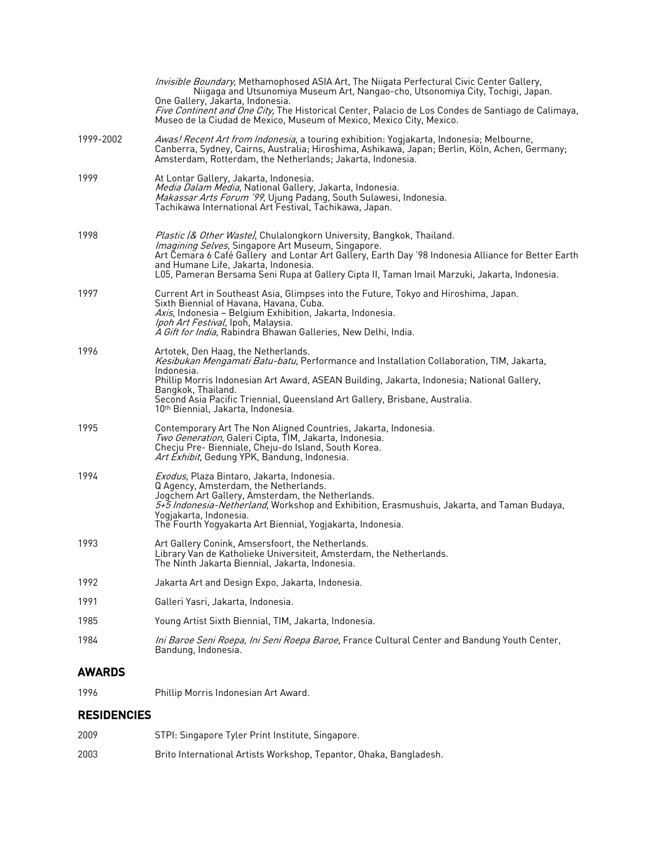|                    | Invisible Boundary, Methamophosed ASIA Art, The Niigata Perfectural Civic Center Gallery,<br>Niigaga and Utsunomiya Museum Art, Nangao-cho, Utsonomiya City, Tochigi, Japan.                                                                                                                                                                                                                       |
|--------------------|----------------------------------------------------------------------------------------------------------------------------------------------------------------------------------------------------------------------------------------------------------------------------------------------------------------------------------------------------------------------------------------------------|
|                    | One Gallery, Jakarta, Indonesia.<br>Five Continent and One City, The Historical Center, Palacio de Los Condes de Santiago de Calimaya,<br>Museo de la Ciudad de Mexico, Museum of Mexico, Mexico City, Mexico.                                                                                                                                                                                     |
| 1999-2002          | Awas! Recent Art from Indonesia, a touring exhibition: Yogjakarta, Indonesia; Melbourne,<br>Canberra, Sydney, Cairns, Australia; Hiroshima, Ashikawa, Japan; Berlin, Köln, Achen, Germany;<br>Amsterdam, Rotterdam, the Netherlands; Jakarta, Indonesia.                                                                                                                                           |
| 1999               | At Lontar Gallery, Jakarta, Indonesia.<br>Media Dalam Media, National Gallery, Jakarta, Indonesia.<br>Makassar Arts Forum '99, Ujung Padang, South Sulawesi, Indonesia.<br>Tachikawa International Art Festival, Tachikawa, Japan.                                                                                                                                                                 |
| 1998               | Plastic (& Other Waste), Chulalongkorn University, Bangkok, Thailand.<br>Imagining Selves, Singapore Art Museum, Singapore.<br>Art Čemara 6 Café Gallery and Lontar Art Gallery, Earth Day '98 Indonesia Alliance for Better Earth<br>and Humane Life, Jakarta, Indonesia.<br>L05, Pameran Bersama Seni Rupa at Gallery Cipta II, Taman Imail Marzuki, Jakarta, Indonesia.                         |
| 1997               | Current Art in Southeast Asia, Glimpses into the Future, Tokyo and Hiroshima, Japan.<br>Sixth Biennial of Havana, Havana, Cuba.<br>Axis, Indonesia - Belgium Exhibition, Jakarta, Indonesia.<br>Ipoh Art Festival, Ipoh, Malaysia.<br>A Gift for India, Rabindra Bhawan Galleries, New Delhi, India.                                                                                               |
| 1996               | Artotek, Den Haag, the Netherlands.<br>Kesibukan Mengamati Batu-batu, Performance and Installation Collaboration, TIM, Jakarta,<br>Indonesia.<br>Phillip Morris Indonesian Art Award, ASEAN Building, Jakarta, Indonesia; National Gallery,<br>Bangkok, Thailand.<br>Second Asia Pacific Triennial, Queensland Art Gallery, Brisbane, Australia.<br>10 <sup>th</sup> Biennial, Jakarta, Indonesia. |
| 1995               | Contemporary Art The Non Aligned Countries, Jakarta, Indonesia.<br>Two Generation, Galeri Cipta, TIM, Jakarta, Indonesia.<br>Checju Pre- Bienniale, Cheju-do Island, South Korea.<br>Art Exhibit, Gedung YPK, Bandung, Indonesia.                                                                                                                                                                  |
| 1994               | Exodus, Plaza Bintaro, Jakarta, Indonesia.<br>Q Agency, Amsterdam, the Netherlands.<br>Jogchem Art Gallery, Amsterdam, the Netherlands.<br>5+5 Indonesia-Netherland, Workshop and Exhibition, Erasmushuis, Jakarta, and Taman Budaya,<br>Yogjakarta, Indonesia.<br>The Fourth Yogyakarta Art Biennial, Yogjakarta, Indonesia.                                                                      |
| 1993               | Art Gallery Conink, Amsersfoort, the Netherlands.<br>Library Van de Katholieke Universiteit, Amsterdam, the Netherlands.<br>The Ninth Jakarta Biennial, Jakarta, Indonesia.                                                                                                                                                                                                                        |
| 1992               | Jakarta Art and Design Expo, Jakarta, Indonesia.                                                                                                                                                                                                                                                                                                                                                   |
| 1991               | Galleri Yasri, Jakarta, Indonesia.                                                                                                                                                                                                                                                                                                                                                                 |
| 1985               | Young Artist Sixth Biennial, TIM, Jakarta, Indonesia.                                                                                                                                                                                                                                                                                                                                              |
| 1984               | Ini Baroe Seni Roepa, Ini Seni Roepa Baroe, France Cultural Center and Bandung Youth Center,<br>Bandung, Indonesia.                                                                                                                                                                                                                                                                                |
| <b>AWARDS</b>      |                                                                                                                                                                                                                                                                                                                                                                                                    |
| 1996               | Phillip Morris Indonesian Art Award.                                                                                                                                                                                                                                                                                                                                                               |
| <b>RESIDENCIES</b> |                                                                                                                                                                                                                                                                                                                                                                                                    |

2009 STPI: Singapore Tyler Print Institute, Singapore. 2003 Brito International Artists Workshop, Tepantor, Ohaka, Bangladesh.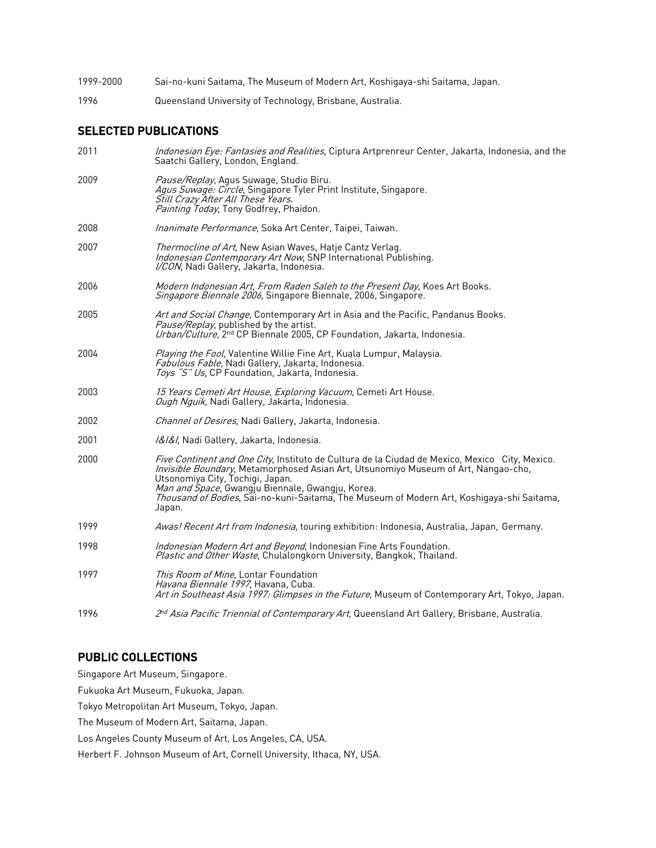- 1999-2000 Sai-no-kuni Saitama, The Museum of Modern Art, Koshigaya-shi Saitama, Japan.
- 1996 Queensland University of Technology, Brisbane, Australia.

## SELECTED PUBLICATIONS

| 2011 | Indonesian Eye: Fantasies and Realities, Ciptura Artprenreur Center, Jakarta, Indonesia, and the<br>Saatchi Gallery, London, England.                                                                                                                                                                                                                                               |
|------|-------------------------------------------------------------------------------------------------------------------------------------------------------------------------------------------------------------------------------------------------------------------------------------------------------------------------------------------------------------------------------------|
| 2009 | Pause/Replay, Agus Suwage, Studio Biru.<br>Agus Suwage: Circle, Singapore Tyler Print Institute, Singapore.<br>Still Crazy After All These Years.<br>Painting Today, Tony Godfrey, Phaidon.                                                                                                                                                                                         |
| 2008 | <i>Inanimate Performance</i> , Soka Art Center, Taipei, Taiwan.                                                                                                                                                                                                                                                                                                                     |
| 2007 | Thermocline of Art, New Asian Waves, Hatje Cantz Verlag.<br>Indonesian Contemporary Art Now, SNP International Publishing.<br>I/CON, Nadi Gallery, Jakarta, Indonesia.                                                                                                                                                                                                              |
| 2006 | Modern Indonesian Art, From Raden Saleh to the Present Day, Koes Art Books.<br>Singapore Biennale 2006, Singapore Biennale, 2006, Singapore.                                                                                                                                                                                                                                        |
| 2005 | Art and Social Change, Contemporary Art in Asia and the Pacific, Pandanus Books.<br><i>Pause/Replay</i> , published by the artist.<br>Urban/Culture, 2nd CP Biennale 2005, CP Foundation, Jakarta, Indonesia.                                                                                                                                                                       |
| 2004 | Playing the Fool, Valentine Willie Fine Art, Kuala Lumpur, Malaysia.<br>Fabulous Fable, Nadi Gallery, Jakarta, Indonesia.<br>Toys "S" Us, CP Foundation, Jakarta, Indonesia.                                                                                                                                                                                                        |
| 2003 | 15 Years Cemeti Art House, Exploring Vacuum, Cemeti Art House.<br>Ough Nguik, Nadi Gallery, Jakarta, Indonesia.                                                                                                                                                                                                                                                                     |
| 2002 | Channel of Desires, Nadi Gallery, Jakarta, Indonesia.                                                                                                                                                                                                                                                                                                                               |
| 2001 | I&I&I, Nadi Gallery, Jakarta, Indonesia.                                                                                                                                                                                                                                                                                                                                            |
| 2000 | Five Continent and One City, Instituto de Cultura de la Ciudad de Mexico, Mexico City, Mexico.<br>Invisible Boundary, Metamorphosed Asian Art, Utsunomiyo Museum of Art, Nangao-cho,<br>Utsonomiya City, Tochigi, Japan.<br>Man and Space, Gwangju Biennale, Gwangju, Korea.<br>Thousand of Bodies, Sai-no-kuni-Saitama, The Museum of Modern Art, Koshigaya-shi Saitama,<br>Japan. |
| 1999 | Awas! Recent Art from Indonesia, touring exhibition: Indonesia, Australia, Japan, Germany.                                                                                                                                                                                                                                                                                          |
| 1998 | Indonesian Modern Art and Beyond, Indonesian Fine Arts Foundation.<br>Plastic and Other Waste, Chulalongkorn University, Bangkok, Thailand.                                                                                                                                                                                                                                         |
| 1997 | This Room of Mine. Lontar Foundation<br>Havana Biennale 1997, Havana, Cuba.<br>Art in Southeast Asia 1997: Glimpses in the Future, Museum of Contemporary Art, Tokyo, Japan.                                                                                                                                                                                                        |
| 1996 | 2 <sup>nd</sup> Asia Pacific Triennial of Contemporary Art, Queensland Art Gallery, Brisbane, Australia.                                                                                                                                                                                                                                                                            |
|      |                                                                                                                                                                                                                                                                                                                                                                                     |

## PUBLIC COLLECTIONS

Singapore Art Museum, Singapore.

Fukuoka Art Museum, Fukuoka, Japan.

Tokyo Metropolitan Art Museum, Tokyo, Japan.

The Museum of Modern Art, Saitama, Japan.

Los Angeles County Museum of Art, Los Angeles, CA, USA.

Herbert F. Johnson Museum of Art, Cornell University, Ithaca, NY, USA.